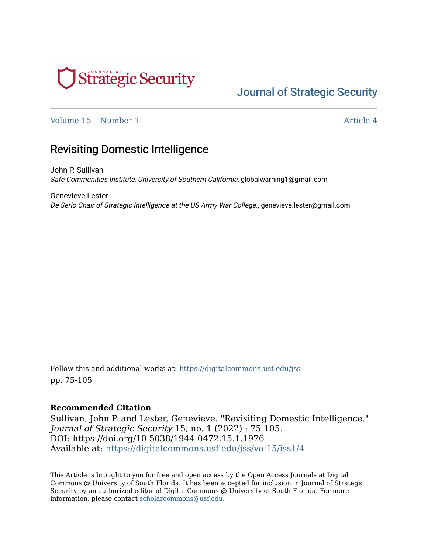

# [Journal of Strategic Security](https://digitalcommons.usf.edu/jss)

[Volume 15](https://digitalcommons.usf.edu/jss/vol15) | [Number 1](https://digitalcommons.usf.edu/jss/vol15/iss1) Article 4

## Revisiting Domestic Intelligence

John P. Sullivan Safe Communities Institute, University of Southern California, globalwarning1@gmail.com

Genevieve Lester De Serio Chair of Strategic Intelligence at the US Army War College., genevieve.lester@gmail.com

Follow this and additional works at: [https://digitalcommons.usf.edu/jss](https://digitalcommons.usf.edu/jss?utm_source=digitalcommons.usf.edu%2Fjss%2Fvol15%2Fiss1%2F4&utm_medium=PDF&utm_campaign=PDFCoverPages) pp. 75-105

#### **Recommended Citation**

Sullivan, John P. and Lester, Genevieve. "Revisiting Domestic Intelligence." Journal of Strategic Security 15, no. 1 (2022) : 75-105. DOI: https://doi.org/10.5038/1944-0472.15.1.1976 Available at: [https://digitalcommons.usf.edu/jss/vol15/iss1/4](https://digitalcommons.usf.edu/jss/vol15/iss1/4?utm_source=digitalcommons.usf.edu%2Fjss%2Fvol15%2Fiss1%2F4&utm_medium=PDF&utm_campaign=PDFCoverPages) 

This Article is brought to you for free and open access by the Open Access Journals at Digital Commons @ University of South Florida. It has been accepted for inclusion in Journal of Strategic Security by an authorized editor of Digital Commons @ University of South Florida. For more information, please contact [scholarcommons@usf.edu.](mailto:scholarcommons@usf.edu)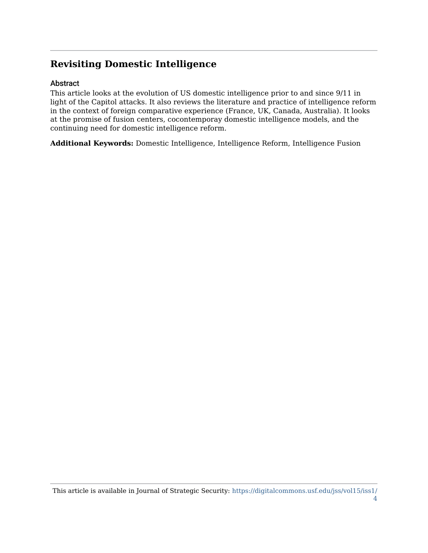### **Revisiting Domestic Intelligence**

#### Abstract

This article looks at the evolution of US domestic intelligence prior to and since 9/11 in light of the Capitol attacks. It also reviews the literature and practice of intelligence reform in the context of foreign comparative experience (France, UK, Canada, Australia). It looks at the promise of fusion centers, cocontemporay domestic intelligence models, and the continuing need for domestic intelligence reform.

**Additional Keywords:** Domestic Intelligence, Intelligence Reform, Intelligence Fusion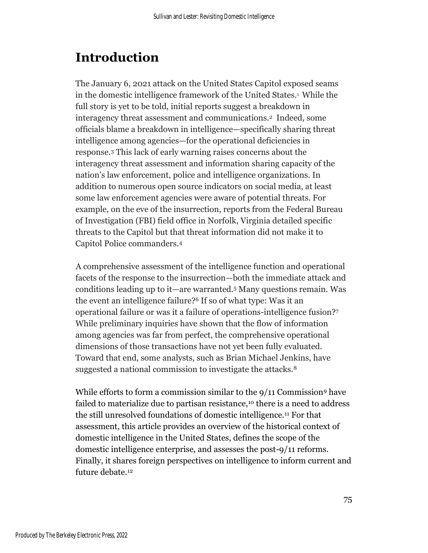# **Introduction**

The January 6, 2021 attack on the United States Capitol exposed seams in the domestic intelligence framework of the United States.<sup>1</sup> While the full story is yet to be told, initial reports suggest a breakdown in interagency threat assessment and communications.2 Indeed, some officials blame a breakdown in intelligence—specifically sharing threat intelligence among agencies—for the operational deficiencies in response.<sup>3</sup> This lack of early warning raises concerns about the interagency threat assessment and information sharing capacity of the nation's law enforcement, police and intelligence organizations. In addition to numerous open source indicators on social media, at least some law enforcement agencies were aware of potential threats. For example, on the eve of the insurrection, reports from the Federal Bureau of Investigation (FBI) field office in Norfolk, Virginia detailed specific threats to the Capitol but that threat information did not make it to Capitol Police commanders.<sup>4</sup>

A comprehensive assessment of the intelligence function and operational facets of the response to the insurrection—both the immediate attack and conditions leading up to it—are warranted.<sup>5</sup> Many questions remain. Was the event an intelligence failure? <sup>6</sup> If so of what type: Was it an operational failure or was it a failure of operations-intelligence fusion?<sup>7</sup> While preliminary inquiries have shown that the flow of information among agencies was far from perfect, the comprehensive operational dimensions of those transactions have not yet been fully evaluated. Toward that end, some analysts, such as Brian Michael Jenkins, have suggested a national commission to investigate the attacks.<sup>8</sup>

While efforts to form a commission similar to the 9/11 Commission<sup>9</sup> have failed to materialize due to partisan resistance,<sup>10</sup> there is a need to address the still unresolved foundations of domestic intelligence.<sup>11</sup> For that assessment, this article provides an overview of the historical context of domestic intelligence in the United States, defines the scope of the domestic intelligence enterprise, and assesses the post-9/11 reforms. Finally, it shares foreign perspectives on intelligence to inform current and future debate.<sup>12</sup>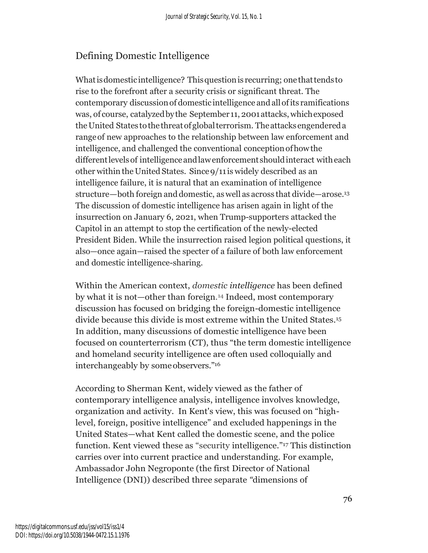### Defining Domestic Intelligence

What is domestic intelligence? This question is recurring; one that tends to rise to the forefront after a security crisis or significant threat. The contemporary discussionof domestic intelligence andallofits ramifications was, of course, catalyzedbythe September 11, 2001attacks, whichexposed theUnited States tothethreatofglobalterrorism. Theattacksengendereda rangeof new approaches to the relationship between law enforcement and intelligence, and challenged the conventional conceptionofhowthe different levels of intelligence and law enforcement should interact with each other within the United States. Since 9/11 is widely described as an intelligence failure, it is natural that an examination of intelligence structure–both foreign and domestic, as well as across that divide—arose.<sup>13</sup> The discussion of domestic intelligence has arisen again in light of the insurrection on January 6, 2021, when Trump-supporters attacked the Capitol in an attempt to stop the certification of the newly-elected President Biden. While the insurrection raised legion political questions, it also—once again—raised the specter of a failure of both law enforcement and domestic intelligence-sharing.

Within the American context, *domestic intelligence* has been defined by what it is not—other than foreign. <sup>14</sup> Indeed, most contemporary discussion has focused on bridging the foreign-domestic intelligence divide because this divide is most extreme within the United States. 15 In addition, many discussions of domestic intelligence have been focused on counterterrorism (CT), thus "the term domestic intelligence and homeland security intelligence are often used colloquially and interchangeably by some observers."<sup>16</sup>

According to Sherman Kent, widely viewed as the father of contemporary intelligence analysis, intelligence involves knowledge, organization and activity. In Kent's view, this was focused on "highlevel, foreign, positive intelligence" and excluded happenings in the United States—what Kent called the domestic scene, and the police function. Kent viewed these as "security intelligence."<sup>17</sup> This distinction carries over into current practice and understanding. For example, Ambassador John Negroponte (the first Director of National Intelligence (DNI)) described three separate *"*dimensions of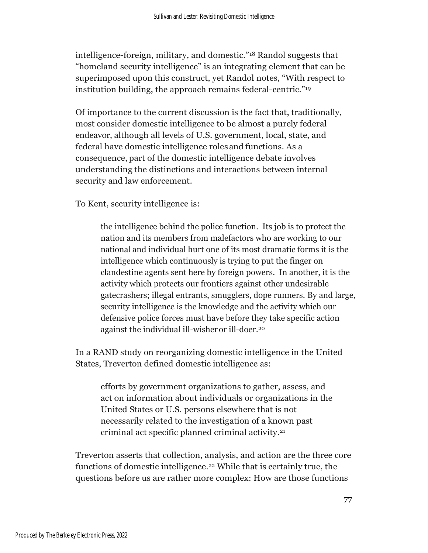intelligence-foreign, military, and domestic."<sup>18</sup> Randol suggests that "homeland security intelligence" is an integrating element that can be superimposed upon this construct, yet Randol notes, "With respect to institution building, the approach remains federal-centric." 19

Of importance to the current discussion is the fact that, traditionally, most consider domestic intelligence to be almost a purely federal endeavor, although all levels of U.S. government, local, state, and federal have domestic intelligence rolesand functions. As a consequence, part of the domestic intelligence debate involves understanding the distinctions and interactions between internal security and law enforcement.

To Kent, security intelligence is:

the intelligence behind the police function. Its job is to protect the nation and its members from malefactors who are working to our national and individual hurt one of its most dramatic forms it is the intelligence which continuously is trying to put the finger on clandestine agents sent here by foreign powers. In another, it is the activity which protects our frontiers against other undesirable gatecrashers; illegal entrants, smugglers, dope runners. By and large, security intelligence is the knowledge and the activity which our defensive police forces must have before they take specific action against the individual ill-wisheror ill-doer.<sup>20</sup>

In a RAND study on reorganizing domestic intelligence in the United States, Treverton defined domestic intelligence as:

efforts by government organizations to gather, assess, and act on information about individuals or organizations in the United States or U.S. persons elsewhere that is not necessarily related to the investigation of a known past criminal act specific planned criminal activity. 21

Treverton asserts that collection, analysis, and action are the three core functions of domestic intelligence. <sup>22</sup> While that is certainly true, the questions before us are rather more complex: How are those functions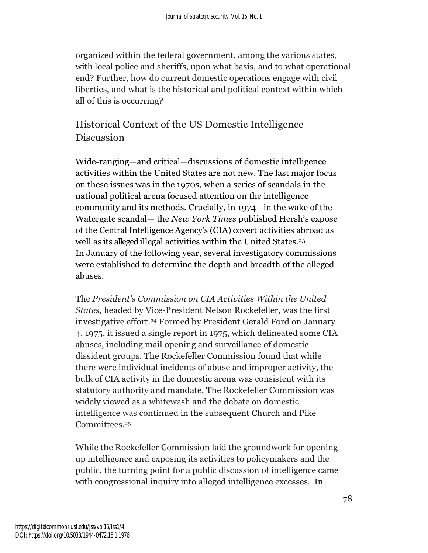organized within the federal government, among the various states, with local police and sheriffs, upon what basis, and to what operational end? Further, how do current domestic operations engage with civil liberties, and what is the historical and political context within which all of this is occurring?

# Historical Context of the US Domestic Intelligence **Discussion**

Wide-ranging—and critical—discussions of domestic intelligence activities within the United States are not new. The last major focus on these issues was in the 1970s, when a series of scandals in the national political arena focused attention on the intelligence community and its methods. Crucially, in 1974—in the wake of the Watergate scandal— the *New York Times* published Hersh's expose of the Central Intelligence Agency's (CIA) covert activities abroad as well as its alleged illegal activities within the United States.<sup>23</sup> In January of the following year, several investigatory commissions were established to determine the depth and breadth of the alleged abuses.

The *President's Commission on CIA Activities Within the United States,* headed by Vice-President Nelson Rockefeller, was the first investigative effort. <sup>24</sup> Formed by President Gerald Ford on January 4, 1975, it issued a single report in 1975, which delineated some CIA abuses, including mail opening and surveillance of domestic dissident groups. The Rockefeller Commission found that while there were individual incidents of abuse and improper activity, the bulk of CIA activity in the domestic arena was consistent with its statutory authority and mandate. The Rockefeller Commission was widely viewed as a whitewash and the debate on domestic intelligence was continued in the subsequent Church and Pike Committees.<sup>25</sup>

While the Rockefeller Commission laid the groundwork for opening up intelligence and exposing its activities to policymakers and the public, the turning point for a public discussion of intelligence came with congressional inquiry into alleged intelligence excesses. In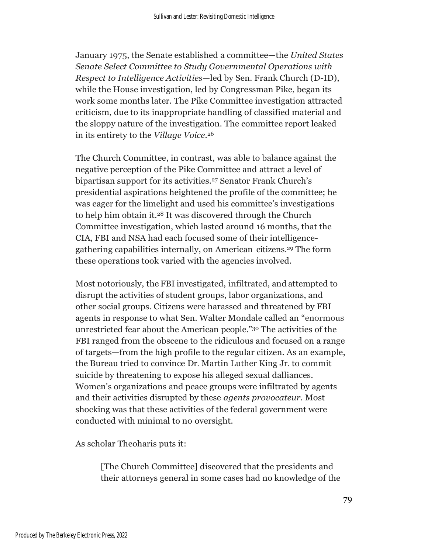January 1975, the Senate established a committee—the *United States Senate Select Committee to Study Governmental Operations with Respect to Intelligence Activities*—led by Sen. Frank Church (D-ID), while the House investigation, led by Congressman Pike, began its work some months later. The Pike Committee investigation attracted criticism, due to its inappropriate handling of classified material and the sloppy nature of the investigation. The committee report leaked in its entirety to the *Village Voice.*<sup>26</sup>

The Church Committee, in contrast, was able to balance against the negative perception of the Pike Committee and attract a level of bipartisan support for its activities.<sup>27</sup> Senator Frank Church's presidential aspirations heightened the profile of the committee; he was eager for the limelight and used his committee's investigations to help him obtain it.<sup>28</sup> It was discovered through the Church Committee investigation, which lasted around 16 months, that the CIA, FBI and NSA had each focused some of their intelligencegathering capabilities internally, on American citizens.<sup>29</sup> The form these operations took varied with the agencies involved.

Most notoriously, the FBI investigated, infiltrated, and attempted to disrupt the activities of student groups, labor organizations, and other social groups. Citizens were harassed and threatened by FBI agents in response to what Sen. Walter Mondale called an "enormous unrestricted fear about the American people."<sup>30</sup> The activities of the FBI ranged from the obscene to the ridiculous and focused on a range of targets—from the high profile to the regular citizen. As an example, the Bureau tried to convince Dr. Martin Luther King Jr. to commit suicide by threatening to expose his alleged sexual dalliances. Women's organizations and peace groups were infiltrated by agents and their activities disrupted by these *agents provocateur.* Most shocking was that these activities of the federal government were conducted with minimal to no oversight.

As scholar Theoharis puts it:

[The Church Committee] discovered that the presidents and their attorneys general in some cases had no knowledge of the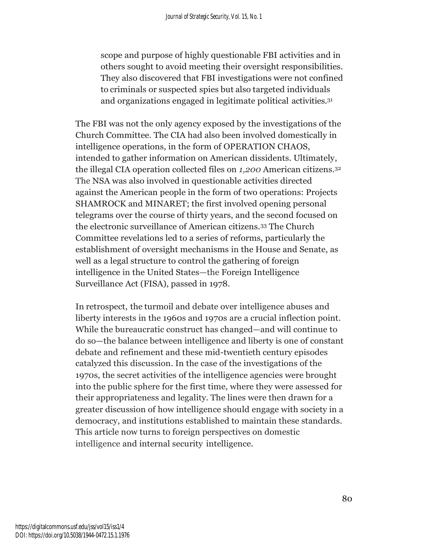scope and purpose of highly questionable FBI activities and in others sought to avoid meeting their oversight responsibilities. They also discovered that FBI investigations were not confined to criminals or suspected spies but also targeted individuals and organizations engaged in legitimate political activities.<sup>31</sup>

The FBI was not the only agency exposed by the investigations of the Church Committee. The CIA had also been involved domestically in intelligence operations, in the form of OPERATION CHAOS, intended to gather information on American dissidents. Ultimately, the illegal CIA operation collected files on *1,200* American citizens.<sup>32</sup> The NSA was also involved in questionable activities directed against the American people in the form of two operations: Projects SHAMROCK and MINARET; the first involved opening personal telegrams over the course of thirty years, and the second focused on the electronic surveillance of American citizens.<sup>33</sup> The Church Committee revelations led to a series of reforms, particularly the establishment of oversight mechanisms in the House and Senate, as well as a legal structure to control the gathering of foreign intelligence in the United States—the Foreign Intelligence Surveillance Act (FISA), passed in 1978.

In retrospect, the turmoil and debate over intelligence abuses and liberty interests in the 1960s and 1970s are a crucial inflection point. While the bureaucratic construct has changed—and will continue to do so—the balance between intelligence and liberty is one of constant debate and refinement and these mid-twentieth century episodes catalyzed this discussion. In the case of the investigations of the 1970s, the secret activities of the intelligence agencies were brought into the public sphere for the first time, where they were assessed for their appropriateness and legality. The lines were then drawn for a greater discussion of how intelligence should engage with society in a democracy, and institutions established to maintain these standards. This article now turns to foreign perspectives on domestic intelligence and internal security intelligence.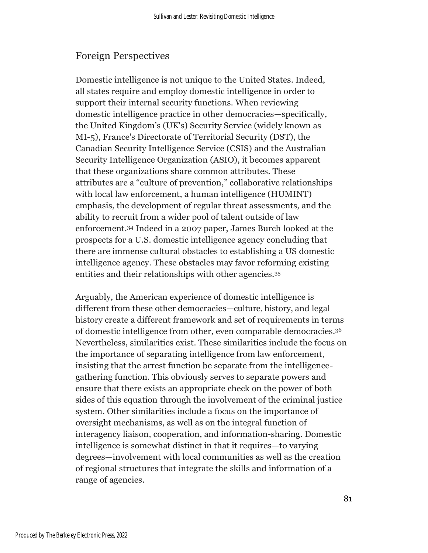#### Foreign Perspectives

Domestic intelligence is not unique to the United States. Indeed, all states require and employ domestic intelligence in order to support their internal security functions. When reviewing domestic intelligence practice in other democracies—specifically, the United Kingdom's (UK's) Security Service (widely known as MI-5), France's Directorate of Territorial Security (DST), the Canadian Security Intelligence Service (CSIS) and the Australian Security Intelligence Organization (ASIO), it becomes apparent that these organizations share common attributes. These attributes are a "culture of prevention," collaborative relationships with local law enforcement, a human intelligence (HUMINT) emphasis, the development of regular threat assessments, and the ability to recruit from a wider pool of talent outside of law enforcement.<sup>34</sup> Indeed in a 2007 paper, James Burch looked at the prospects for a U.S. domestic intelligence agency concluding that there are immense cultural obstacles to establishing a US domestic intelligence agency. These obstacles may favor reforming existing entities and their relationships with other agencies. 35

Arguably, the American experience of domestic intelligence is different from these other democracies—culture, history, and legal history create a different framework and set of requirements in terms of domestic intelligence from other, even comparable democracies. 36 Nevertheless, similarities exist. These similarities include the focus on the importance of separating intelligence from law enforcement, insisting that the arrest function be separate from the intelligencegathering function. This obviously serves to separate powers and ensure that there exists an appropriate check on the power of both sides of this equation through the involvement of the criminal justice system. Other similarities include a focus on the importance of oversight mechanisms, as well as on the integral function of interagency liaison, cooperation, and information-sharing. Domestic intelligence is somewhat distinct in that it requires—to varying degrees—involvement with local communities as well as the creation of regional structures that integrate the skills and information of a range of agencies.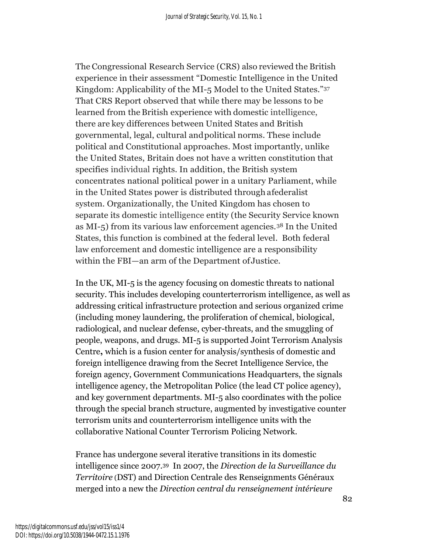The Congressional Research Service (CRS) also reviewed the British experience in their assessment "Domestic Intelligence in the United Kingdom: Applicability of the MI-5 Model to the United States."<sup>37</sup> That CRS Report observed that while there may be lessons to be learned from the British experience with domestic intelligence, there are key differences between United States and British governmental, legal, cultural andpolitical norms. These include political and Constitutional approaches. Most importantly, unlike the United States, Britain does not have a written constitution that specifies individual rights. In addition, the British system concentrates national political power in a unitary Parliament, while in the United States power is distributed througha federalist system. Organizationally, the United Kingdom has chosen to separate its domestic intelligence entity (the Security Service known as MI-5) from its various law enforcement agencies.<sup>38</sup> In the United States, this function is combined at the federal level. Both federal law enforcement and domestic intelligence are a responsibility within the FBI—an arm of the Department ofJustice.

In the UK, MI-5 is the agency focusing on domestic threats to national security. This includes developing counterterrorism intelligence, as well as addressing critical infrastructure protection and serious organized crime (including money laundering, the proliferation of chemical, biological, radiological, and nuclear defense, cyber-threats, and the smuggling of people, weapons, and drugs. MI-5 is supported Joint Terrorism Analysis Centre**,** which is a fusion center for analysis/synthesis of domestic and foreign intelligence drawing from the Secret Intelligence Service, the foreign agency, Government Communications Headquarters, the signals intelligence agency, the Metropolitan Police (the lead CT police agency), and key government departments. MI-5 also coordinates with the police through the special branch structure, augmented by investigative counter terrorism units and counterterrorism intelligence units with the collaborative National Counter Terrorism Policing Network.

France has undergone several iterative transitions in its domestic intelligence since 2007.39 In 2007, the *Direction de la Surveillance du Territoire* (DST) and Direction Centrale des Renseignments Généraux merged into a new the *Direction central du renseignement intérieure*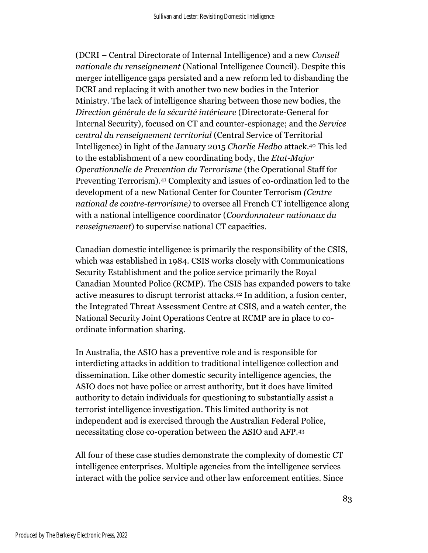(DCRI – Central Directorate of Internal Intelligence) and a new *Conseil nationale du renseignement* (National Intelligence Council). Despite this merger intelligence gaps persisted and a new reform led to disbanding the DCRI and replacing it with another two new bodies in the Interior Ministry. The lack of intelligence sharing between those new bodies, the *Direction générale de la sécurité intérieure* (Directorate-General for Internal Security), focused on CT and counter-espionage; and the *Service central du renseignement territorial* (Central Service of Territorial Intelligence) in light of the January 2015 *Charlie Hedbo* attack.<sup>40</sup> This led to the establishment of a new coordinating body, the *Etat-Major Operationnelle de Prevention du Terrorisme* (the Operational Staff for Preventing Terrorism).<sup>41</sup> Complexity and issues of co-ordination led to the development of a new National Center for Counter Terrorism *(Centre national de contre-terrorisme)* to oversee all French CT intelligence along with a national intelligence coordinator (*Coordonnateur nationaux du renseignement*) to supervise national CT capacities.

Canadian domestic intelligence is primarily the responsibility of the CSIS, which was established in 1984. CSIS works closely with Communications Security Establishment and the police service primarily the Royal Canadian Mounted Police (RCMP). The CSIS has expanded powers to take active measures to disrupt terrorist attacks.<sup>42</sup> In addition, a fusion center, the Integrated Threat Assessment Centre at CSIS, and a watch center, the National Security Joint Operations Centre at RCMP are in place to coordinate information sharing.

In Australia, the ASIO has a preventive role and is responsible for interdicting attacks in addition to traditional intelligence collection and dissemination. Like other domestic security intelligence agencies, the ASIO does not have police or arrest authority, but it does have limited authority to detain individuals for questioning to substantially assist a terrorist intelligence investigation. This limited authority is not independent and is exercised through the Australian Federal Police, necessitating close co-operation between the ASIO and AFP.<sup>43</sup>

All four of these case studies demonstrate the complexity of domestic CT intelligence enterprises. Multiple agencies from the intelligence services interact with the police service and other law enforcement entities. Since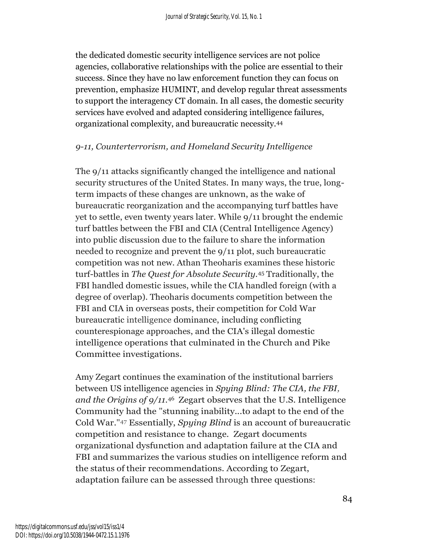the dedicated domestic security intelligence services are not police agencies, collaborative relationships with the police are essential to their success. Since they have no law enforcement function they can focus on prevention, emphasize HUMINT, and develop regular threat assessments to support the interagency CT domain. In all cases, the domestic security services have evolved and adapted considering intelligence failures, organizational complexity, and bureaucratic necessity.<sup>44</sup>

#### *9-11, Counterterrorism, and Homeland Security Intelligence*

The 9/11 attacks significantly changed the intelligence and national security structures of the United States. In many ways, the true, longterm impacts of these changes are unknown, as the wake of bureaucratic reorganization and the accompanying turf battles have yet to settle, even twenty years later. While 9/11 brought the endemic turf battles between the FBI and CIA (Central Intelligence Agency) into public discussion due to the failure to share the information needed to recognize and prevent the 9/11 plot, such bureaucratic competition was not new. Athan Theoharis examines these historic turf-battles in *The Quest for Absolute Security.*<sup>45</sup> Traditionally, the FBI handled domestic issues, while the CIA handled foreign (with a degree of overlap). Theoharis documents competition between the FBI and CIA in overseas posts, their competition for Cold War bureaucratic intelligence dominance, including conflicting counterespionage approaches, and the CIA's illegal domestic intelligence operations that culminated in the Church and Pike Committee investigations.

Amy Zegart continues the examination of the institutional barriers between US intelligence agencies in *Spying Blind: The CIA, the FBI, and the Origins of 9/11.*<sup>46</sup>Zegart observes that the U.S. Intelligence Community had the "stunning inability...to adapt to the end of the Cold War." <sup>47</sup> Essentially, *Spying Blind* is an account of bureaucratic competition and resistance to change. Zegart documents organizational dysfunction and adaptation failure at the CIA and FBI and summarizes the various studies on intelligence reform and the status of their recommendations. According to Zegart, adaptation failure can be assessed through three questions: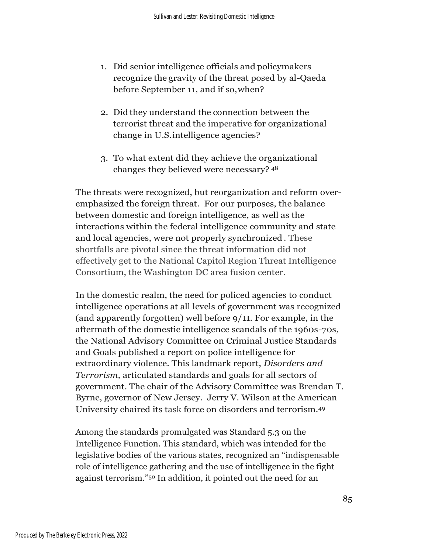- 1. Did senior intelligence officials and policymakers recognize the gravity of the threat posed by al-Qaeda before September 11, and if so,when?
- 2. Did they understand the connection between the terrorist threat and the imperative for organizational change in U.S.intelligence agencies?
- 3. To what extent did they achieve the organizational changes they believed were necessary? <sup>48</sup>

The threats were recognized, but reorganization and reform overemphasized the foreign threat. For our purposes, the balance between domestic and foreign intelligence, as well as the interactions within the federal intelligence community and state and local agencies, were not properly synchronized . These shortfalls are pivotal since the threat information did not effectively get to the National Capitol Region Threat Intelligence Consortium, the Washington DC area fusion center.

In the domestic realm, the need for policed agencies to conduct intelligence operations at all levels of government was recognized (and apparently forgotten) well before 9/11. For example, in the aftermath of the domestic intelligence scandals of the 1960s-70s, the National Advisory Committee on Criminal Justice Standards and Goals published a report on police intelligence for extraordinary violence. This landmark report, *Disorders and Terrorism,* articulated standards and goals for all sectors of government. The chair of the Advisory Committee was Brendan T. Byrne, governor of New Jersey. Jerry V. Wilson at the American University chaired its task force on disorders and terrorism.<sup>49</sup>

Among the standards promulgated was Standard 5.3 on the Intelligence Function. This standard, which was intended for the legislative bodies of the various states, recognized an "indispensable role of intelligence gathering and the use of intelligence in the fight against terrorism."<sup>50</sup> In addition, it pointed out the need for an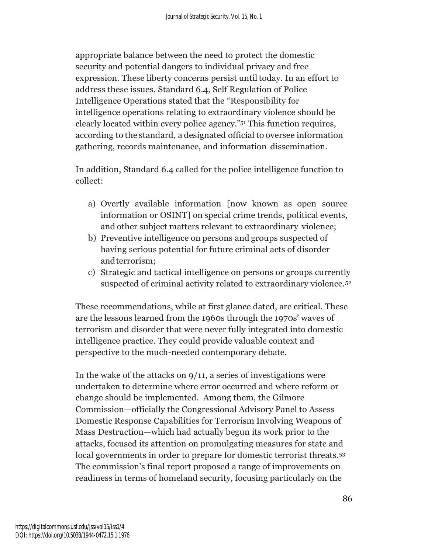appropriate balance between the need to protect the domestic security and potential dangers to individual privacy and free expression. These liberty concerns persist until today. In an effort to address these issues, Standard 6.4, Self Regulation of Police Intelligence Operations stated that the "Responsibility for intelligence operations relating to extraordinary violence should be clearly located within every police agency."<sup>51</sup> This function requires, according to the standard, a designated official to oversee information gathering, records maintenance, and information dissemination.

In addition, Standard 6.4 called for the police intelligence function to collect:

- a) Overtly available information [now known as open source information or OSINT] on special crime trends, political events, and other subject matters relevant to extraordinary violence;
- b) Preventive intelligence on persons and groups suspected of having serious potential for future criminal acts of disorder andterrorism;
- c) Strategic and tactical intelligence on persons or groups currently suspected of criminal activity related to extraordinary violence.<sup>52</sup>

These recommendations, while at first glance dated, are critical. These are the lessons learned from the 1960s through the 1970s' waves of terrorism and disorder that were never fully integrated into domestic intelligence practice. They could provide valuable context and perspective to the much-needed contemporary debate.

In the wake of the attacks on 9/11, a series of investigations were undertaken to determine where error occurred and where reform or change should be implemented. Among them, the Gilmore Commission—officially the Congressional Advisory Panel to Assess Domestic Response Capabilities for Terrorism Involving Weapons of Mass Destruction—which had actually begun its work prior to the attacks, focused its attention on promulgating measures for state and local governments in order to prepare for domestic terrorist threats.<sup>53</sup> The commission's final report proposed a range of improvements on readiness in terms of homeland security, focusing particularly on the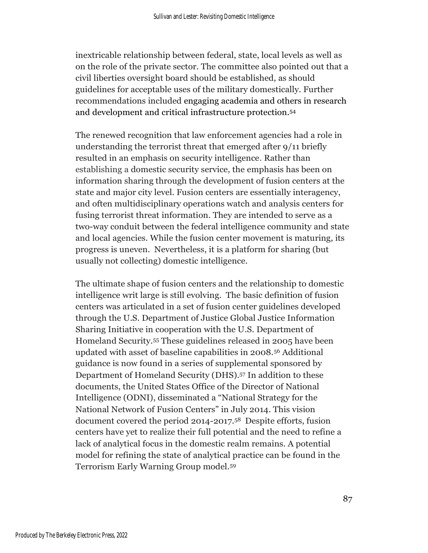inextricable relationship between federal, state, local levels as well as on the role of the private sector. The committee also pointed out that a civil liberties oversight board should be established, as should guidelines for acceptable uses of the military domestically. Further recommendations included engaging academia and others in research and development and critical infrastructure protection.<sup>54</sup>

The renewed recognition that law enforcement agencies had a role in understanding the terrorist threat that emerged after 9/11 briefly resulted in an emphasis on security intelligence. Rather than establishing a domestic security service, the emphasis has been on information sharing through the development of fusion centers at the state and major city level. Fusion centers are essentially interagency, and often multidisciplinary operations watch and analysis centers for fusing terrorist threat information. They are intended to serve as a two-way conduit between the federal intelligence community and state and local agencies. While the fusion center movement is maturing, its progress is uneven. Nevertheless, it is a platform for sharing (but usually not collecting) domestic intelligence.

The ultimate shape of fusion centers and the relationship to domestic intelligence writ large is still evolving. The basic definition of fusion centers was articulated in a set of fusion center guidelines developed through the U.S. Department of Justice Global Justice Information Sharing Initiative in cooperation with the U.S. Department of Homeland Security.<sup>55</sup> These guidelines released in 2005 have been updated with asset of baseline capabilities in 2008.<sup>56</sup> Additional guidance is now found in a series of supplemental sponsored by Department of Homeland Security (DHS). <sup>57</sup> In addition to these documents, the United States Office of the Director of National Intelligence (ODNI), disseminated a "National Strategy for the National Network of Fusion Centers" in July 2014. This vision document covered the period 2014-2017.58 Despite efforts, fusion centers have yet to realize their full potential and the need to refine a lack of analytical focus in the domestic realm remains. A potential model for refining the state of analytical practice can be found in the Terrorism Early Warning Group model.<sup>59</sup>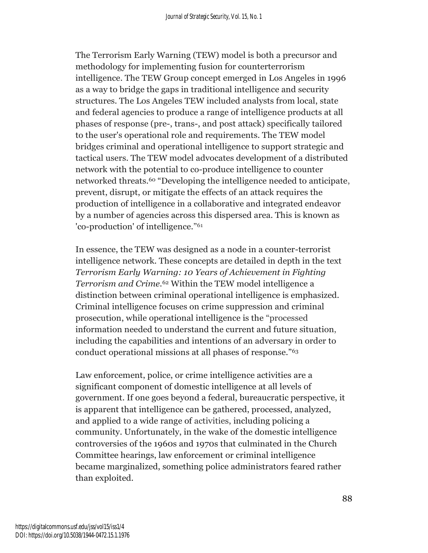The Terrorism Early Warning (TEW) model is both a precursor and methodology for implementing fusion for counterterrorism intelligence. The TEW Group concept emerged in Los Angeles in 1996 as a way to bridge the gaps in traditional intelligence and security structures. The Los Angeles TEW included analysts from local, state and federal agencies to produce a range of intelligence products at all phases of response (pre-, trans-, and post attack) specifically tailored to the user's operational role and requirements. The TEW model bridges criminal and operational intelligence to support strategic and tactical users. The TEW model advocates development of a distributed network with the potential to co-produce intelligence to counter networked threats.<sup>60</sup> "Developing the intelligence needed to anticipate, prevent, disrupt, or mitigate the effects of an attack requires the production of intelligence in a collaborative and integrated endeavor by a number of agencies across this dispersed area. This is known as 'co-production' of intelligence." 61

In essence, the TEW was designed as a node in a counter-terrorist intelligence network. These concepts are detailed in depth in the text *Terrorism Early Warning: 10 Years of Achievement in Fighting Terrorism and Crime.*<sup>62</sup> Within the TEW model intelligence a distinction between criminal operational intelligence is emphasized. Criminal intelligence focuses on crime suppression and criminal prosecution, while operational intelligence is the "processed information needed to understand the current and future situation, including the capabilities and intentions of an adversary in order to conduct operational missions at all phases of response."<sup>63</sup>

Law enforcement, police, or crime intelligence activities are a significant component of domestic intelligence at all levels of government. If one goes beyond a federal, bureaucratic perspective, it is apparent that intelligence can be gathered, processed, analyzed, and applied to a wide range of activities, including policing a community. Unfortunately, in the wake of the domestic intelligence controversies of the 1960s and 1970s that culminated in the Church Committee hearings, law enforcement or criminal intelligence became marginalized, something police administrators feared rather than exploited.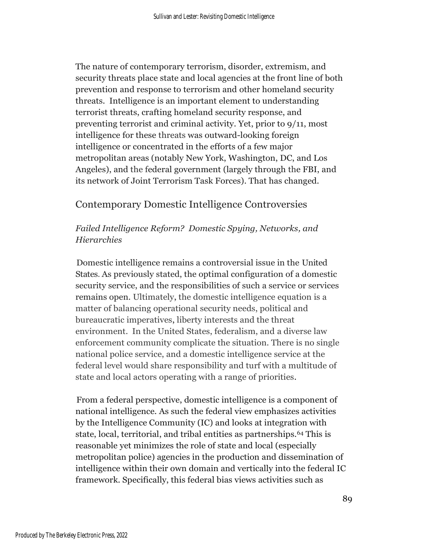The nature of contemporary terrorism, disorder, extremism, and security threats place state and local agencies at the front line of both prevention and response to terrorism and other homeland security threats. Intelligence is an important element to understanding terrorist threats, crafting homeland security response, and preventing terrorist and criminal activity. Yet, prior to 9/11, most intelligence for these threats was outward-looking foreign intelligence or concentrated in the efforts of a few major metropolitan areas (notably New York, Washington, DC, and Los Angeles), and the federal government (largely through the FBI, and its network of Joint Terrorism Task Forces). That has changed.

### Contemporary Domestic Intelligence Controversies

### *Failed Intelligence Reform? Domestic Spying, Networks, and Hierarchies*

Domestic intelligence remains a controversial issue in the United States. As previously stated, the optimal configuration of a domestic security service, and the responsibilities of such a service or services remains open. Ultimately, the domestic intelligence equation is a matter of balancing operational security needs, political and bureaucratic imperatives, liberty interests and the threat environment. In the United States, federalism, and a diverse law enforcement community complicate the situation. There is no single national police service, and a domestic intelligence service at the federal level would share responsibility and turf with a multitude of state and local actors operating with a range of priorities.

From a federal perspective, domestic intelligence is a component of national intelligence. As such the federal view emphasizes activities by the Intelligence Community (IC) and looks at integration with state, local, territorial, and tribal entities as partnerships.<sup>64</sup> This is reasonable yet minimizes the role of state and local (especially metropolitan police) agencies in the production and dissemination of intelligence within their own domain and vertically into the federal IC framework. Specifically, this federal bias views activities such as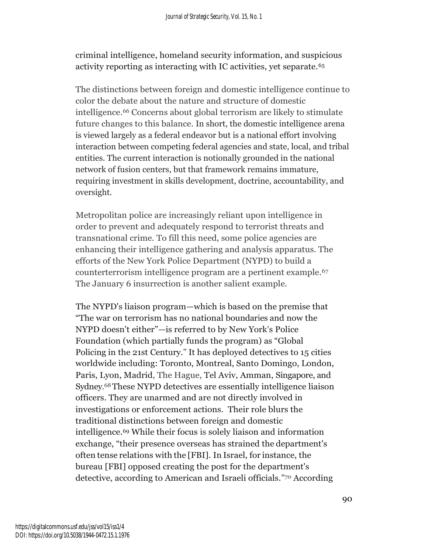criminal intelligence, homeland security information, and suspicious activity reporting as interacting with IC activities, yet separate.<sup>65</sup>

The distinctions between foreign and domestic intelligence continue to color the debate about the nature and structure of domestic intelligence.<sup>66</sup> Concerns about global terrorism are likely to stimulate future changes to this balance. In short, the domestic intelligence arena is viewed largely as a federal endeavor but is a national effort involving interaction between competing federal agencies and state, local, and tribal entities. The current interaction is notionally grounded in the national network of fusion centers, but that framework remains immature, requiring investment in skills development, doctrine, accountability, and oversight.

Metropolitan police are increasingly reliant upon intelligence in order to prevent and adequately respond to terrorist threats and transnational crime. To fill this need, some police agencies are enhancing their intelligence gathering and analysis apparatus. The efforts of the New York Police Department (NYPD) to build a counterterrorism intelligence program are a pertinent example.<sup>67</sup> The January 6 insurrection is another salient example.

The NYPD's liaison program—which is based on the premise that "The war on terrorism has no national boundaries and now the NYPD doesn't either"—is referred to by New York's Police Foundation (which partially funds the program) as "Global Policing in the 21st Century." It has deployed detectives to 15 cities worldwide including: Toronto, Montreal, Santo Domingo, London, Paris, Lyon, Madrid, The Hague, Tel Aviv, Amman, Singapore, and Sydney. <sup>68</sup>These NYPD detectives are essentially intelligence liaison officers. They are unarmed and are not directly involved in investigations or enforcement actions. Their role blurs the traditional distinctions between foreign and domestic intelligence.<sup>69</sup> While their focus is solely liaison and information exchange, "their presence overseas has strained the department's often tense relations with the [FBI]. In Israel, for instance, the bureau [FBI] opposed creating the post for the department's detective, according to American and Israeli officials." <sup>70</sup> According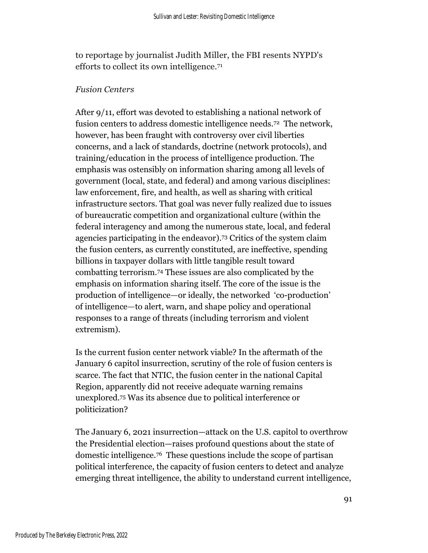to reportage by journalist Judith Miller, the FBI resents NYPD's efforts to collect its own intelligence.<sup>71</sup>

#### *Fusion Centers*

After 9/11, effort was devoted to establishing a national network of fusion centers to address domestic intelligence needs.72 The network, however, has been fraught with controversy over civil liberties concerns, and a lack of standards, doctrine (network protocols), and training/education in the process of intelligence production. The emphasis was ostensibly on information sharing among all levels of government (local, state, and federal) and among various disciplines: law enforcement, fire, and health, as well as sharing with critical infrastructure sectors. That goal was never fully realized due to issues of bureaucratic competition and organizational culture (within the federal interagency and among the numerous state, local, and federal agencies participating in the endeavor). <sup>73</sup> Critics of the system claim the fusion centers, as currently constituted, are ineffective, spending billions in taxpayer dollars with little tangible result toward combatting terrorism.<sup>74</sup> These issues are also complicated by the emphasis on information sharing itself. The core of the issue is the production of intelligence—or ideally, the networked 'co-production' of intelligence—to alert, warn, and shape policy and operational responses to a range of threats (including terrorism and violent extremism).

Is the current fusion center network viable? In the aftermath of the January 6 capitol insurrection, scrutiny of the role of fusion centers is scarce. The fact that NTIC, the fusion center in the national Capital Region, apparently did not receive adequate warning remains unexplored.<sup>75</sup> Was its absence due to political interference or politicization?

The January 6, 2021 insurrection—attack on the U.S. capitol to overthrow the Presidential election—raises profound questions about the state of domestic intelligence.76 These questions include the scope of partisan political interference, the capacity of fusion centers to detect and analyze emerging threat intelligence, the ability to understand current intelligence,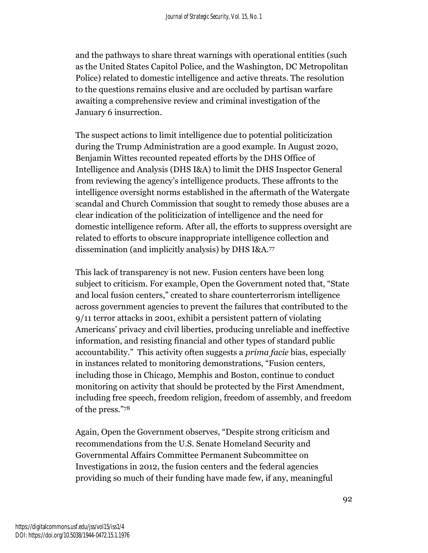and the pathways to share threat warnings with operational entities (such as the United States Capitol Police, and the Washington, DC Metropolitan Police) related to domestic intelligence and active threats. The resolution to the questions remains elusive and are occluded by partisan warfare awaiting a comprehensive review and criminal investigation of the January 6 insurrection.

The suspect actions to limit intelligence due to potential politicization during the Trump Administration are a good example. In August 2020, Benjamin Wittes recounted repeated efforts by the DHS Office of Intelligence and Analysis (DHS I&A) to limit the DHS Inspector General from reviewing the agency's intelligence products. These affronts to the intelligence oversight norms established in the aftermath of the Watergate scandal and Church Commission that sought to remedy those abuses are a clear indication of the politicization of intelligence and the need for domestic intelligence reform. After all, the efforts to suppress oversight are related to efforts to obscure inappropriate intelligence collection and dissemination (and implicitly analysis) by DHS I&A.<sup>77</sup>

This lack of transparency is not new. Fusion centers have been long subject to criticism. For example, Open the Government noted that, "State and local fusion centers," created to share counterterrorism intelligence across government agencies to prevent the failures that contributed to the 9/11 terror attacks in 2001, exhibit a persistent pattern of violating Americans' privacy and civil liberties, producing unreliable and ineffective information, and resisting financial and other types of standard public accountability." This activity often suggests a *prima facie* bias, especially in instances related to monitoring demonstrations, "Fusion centers, including those in Chicago, Memphis and Boston, continue to conduct monitoring on activity that should be protected by the First Amendment, including free speech, freedom religion, freedom of assembly, and freedom of the press."<sup>78</sup>

Again, Open the Government observes, "Despite strong criticism and recommendations from the U.S. Senate Homeland Security and Governmental Affairs Committee Permanent Subcommittee on Investigations in 2012, the fusion centers and the federal agencies providing so much of their funding have made few, if any, meaningful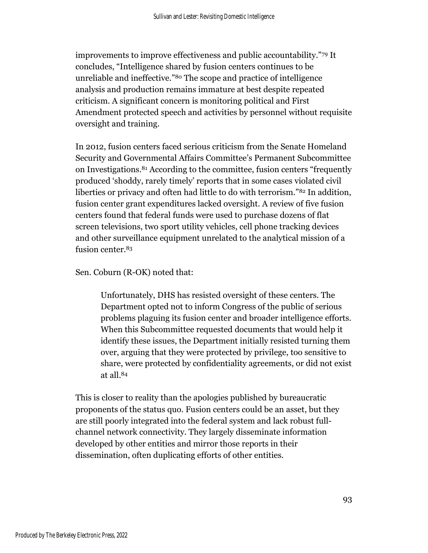improvements to improve effectiveness and public accountability."<sup>79</sup> It concludes, "Intelligence shared by fusion centers continues to be unreliable and ineffective."<sup>80</sup> The scope and practice of intelligence analysis and production remains immature at best despite repeated criticism. A significant concern is monitoring political and First Amendment protected speech and activities by personnel without requisite oversight and training.

In 2012, fusion centers faced serious criticism from the Senate Homeland Security and Governmental Affairs Committee's Permanent Subcommittee on Investigations.<sup>81</sup> According to the committee, fusion centers "frequently produced 'shoddy, rarely timely' reports that in some cases violated civil liberties or privacy and often had little to do with terrorism."<sup>82</sup> In addition, fusion center grant expenditures lacked oversight. A review of five fusion centers found that federal funds were used to purchase dozens of flat screen televisions, two sport utility vehicles, cell phone tracking devices and other surveillance equipment unrelated to the analytical mission of a fusion center.<sup>83</sup>

Sen. Coburn (R-OK) noted that:

Unfortunately, DHS has resisted oversight of these centers. The Department opted not to inform Congress of the public of serious problems plaguing its fusion center and broader intelligence efforts. When this Subcommittee requested documents that would help it identify these issues, the Department initially resisted turning them over, arguing that they were protected by privilege, too sensitive to share, were protected by confidentiality agreements, or did not exist at all.<sup>84</sup>

This is closer to reality than the apologies published by bureaucratic proponents of the status quo. Fusion centers could be an asset, but they are still poorly integrated into the federal system and lack robust fullchannel network connectivity. They largely disseminate information developed by other entities and mirror those reports in their dissemination, often duplicating efforts of other entities.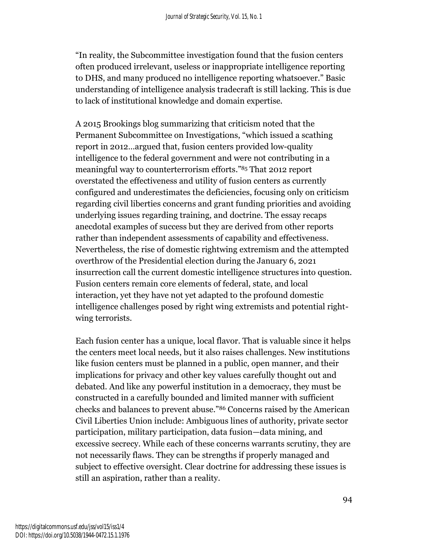"In reality, the Subcommittee investigation found that the fusion centers often produced irrelevant, useless or inappropriate intelligence reporting to DHS, and many produced no intelligence reporting whatsoever." Basic understanding of intelligence analysis tradecraft is still lacking. This is due to lack of institutional knowledge and domain expertise.

A 2015 Brookings blog summarizing that criticism noted that the Permanent Subcommittee on Investigations, "which issued a scathing report in 2012…argued that, fusion centers provided low-quality intelligence to the federal government and were not contributing in a meaningful way to counterterrorism efforts."<sup>85</sup> That 2012 report overstated the effectiveness and utility of fusion centers as currently configured and underestimates the deficiencies, focusing only on criticism regarding civil liberties concerns and grant funding priorities and avoiding underlying issues regarding training, and doctrine. The essay recaps anecdotal examples of success but they are derived from other reports rather than independent assessments of capability and effectiveness. Nevertheless, the rise of domestic rightwing extremism and the attempted overthrow of the Presidential election during the January 6, 2021 insurrection call the current domestic intelligence structures into question. Fusion centers remain core elements of federal, state, and local interaction, yet they have not yet adapted to the profound domestic intelligence challenges posed by right wing extremists and potential rightwing terrorists.

Each fusion center has a unique, local flavor. That is valuable since it helps the centers meet local needs, but it also raises challenges. New institutions like fusion centers must be planned in a public, open manner, and their implications for privacy and other key values carefully thought out and debated. And like any powerful institution in a democracy, they must be constructed in a carefully bounded and limited manner with sufficient checks and balances to prevent abuse."<sup>86</sup> Concerns raised by the American Civil Liberties Union include: Ambiguous lines of authority, private sector participation, military participation, data fusion—data mining, and excessive secrecy. While each of these concerns warrants scrutiny, they are not necessarily flaws. They can be strengths if properly managed and subject to effective oversight. Clear doctrine for addressing these issues is still an aspiration, rather than a reality.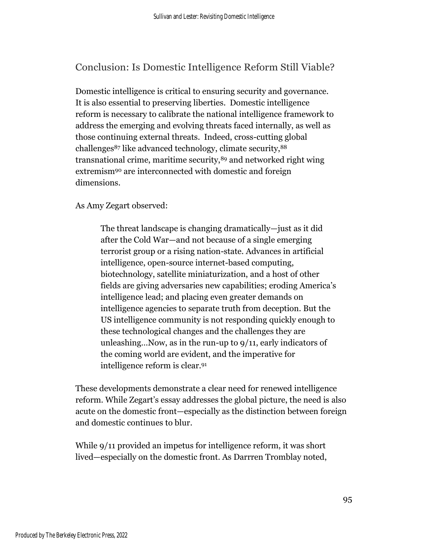Conclusion: Is Domestic Intelligence Reform Still Viable?

Domestic intelligence is critical to ensuring security and governance. It is also essential to preserving liberties. Domestic intelligence reform is necessary to calibrate the national intelligence framework to address the emerging and evolving threats faced internally, as well as those continuing external threats. Indeed, cross-cutting global challenges<sup>87</sup> like advanced technology, climate security, 88 transnational crime, maritime security,<sup>89</sup> and networked right wing extremism<sup>90</sup> are interconnected with domestic and foreign dimensions.

As Amy Zegart observed:

The threat landscape is changing dramatically—just as it did after the Cold War—and not because of a single emerging terrorist group or a rising nation-state. Advances in artificial intelligence, open-source internet-based computing, biotechnology, satellite miniaturization, and a host of other fields are giving adversaries new capabilities; eroding America's intelligence lead; and placing even greater demands on intelligence agencies to separate truth from deception. But the US intelligence community is not responding quickly enough to these technological changes and the challenges they are unleashing…Now, as in the run-up to 9/11, early indicators of the coming world are evident, and the imperative for intelligence reform is clear.<sup>91</sup>

These developments demonstrate a clear need for renewed intelligence reform. While Zegart's essay addresses the global picture, the need is also acute on the domestic front—especially as the distinction between foreign and domestic continues to blur.

While 9/11 provided an impetus for intelligence reform, it was short lived—especially on the domestic front. As Darrren Tromblay noted,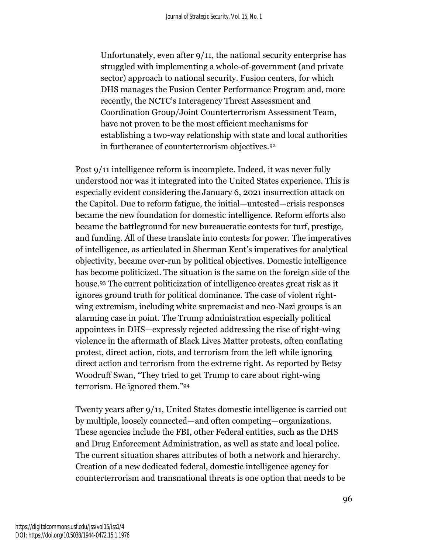Unfortunately, even after 9/11, the national security enterprise has struggled with implementing a whole-of-government (and private sector) approach to national security. Fusion centers, for which DHS manages the Fusion Center Performance Program and, more recently, the NCTC's Interagency Threat Assessment and Coordination Group/Joint Counterterrorism Assessment Team, have not proven to be the most efficient mechanisms for establishing a two-way relationship with state and local authorities in furtherance of counterterrorism objectives.<sup>92</sup>

Post 9/11 intelligence reform is incomplete. Indeed, it was never fully understood nor was it integrated into the United States experience. This is especially evident considering the January 6, 2021 insurrection attack on the Capitol. Due to reform fatigue, the initial—untested—crisis responses became the new foundation for domestic intelligence. Reform efforts also became the battleground for new bureaucratic contests for turf, prestige, and funding. All of these translate into contests for power. The imperatives of intelligence, as articulated in Sherman Kent's imperatives for analytical objectivity, became over-run by political objectives. Domestic intelligence has become politicized. The situation is the same on the foreign side of the house.<sup>93</sup> The current politicization of intelligence creates great risk as it ignores ground truth for political dominance. The case of violent rightwing extremism, including white supremacist and neo-Nazi groups is an alarming case in point. The Trump administration especially political appointees in DHS—expressly rejected addressing the rise of right-wing violence in the aftermath of Black Lives Matter protests, often conflating protest, direct action, riots, and terrorism from the left while ignoring direct action and terrorism from the extreme right. As reported by Betsy Woodruff Swan, "They tried to get Trump to care about right-wing terrorism. He ignored them."<sup>94</sup>

Twenty years after 9/11, United States domestic intelligence is carried out by multiple, loosely connected—and often competing—organizations. These agencies include the FBI, other Federal entities, such as the DHS and Drug Enforcement Administration, as well as state and local police. The current situation shares attributes of both a network and hierarchy. Creation of a new dedicated federal, domestic intelligence agency for counterterrorism and transnational threats is one option that needs to be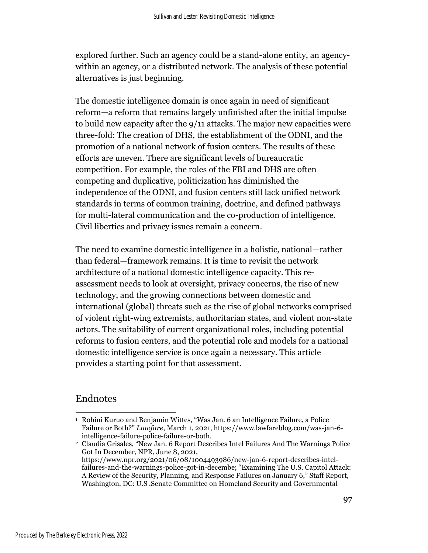explored further. Such an agency could be a stand-alone entity, an agencywithin an agency, or a distributed network. The analysis of these potential alternatives is just beginning.

The domestic intelligence domain is once again in need of significant reform—a reform that remains largely unfinished after the initial impulse to build new capacity after the 9/11 attacks. The major new capacities were three-fold: The creation of DHS, the establishment of the ODNI, and the promotion of a national network of fusion centers. The results of these efforts are uneven. There are significant levels of bureaucratic competition. For example, the roles of the FBI and DHS are often competing and duplicative, politicization has diminished the independence of the ODNI, and fusion centers still lack unified network standards in terms of common training, doctrine, and defined pathways for multi-lateral communication and the co-production of intelligence. Civil liberties and privacy issues remain a concern.

The need to examine domestic intelligence in a holistic, national—rather than federal—framework remains. It is time to revisit the network architecture of a national domestic intelligence capacity. This reassessment needs to look at oversight, privacy concerns, the rise of new technology, and the growing connections between domestic and international (global) threats such as the rise of global networks comprised of violent right-wing extremists, authoritarian states, and violent non-state actors. The suitability of current organizational roles, including potential reforms to fusion centers, and the potential role and models for a national domestic intelligence service is once again a necessary. This article provides a starting point for that assessment.

#### Endnotes

<sup>&</sup>lt;sup>1</sup> Rohini Kuruo and Benjamin Wittes, "Was Jan. 6 an Intelligence Failure, a Police Failure or Both?" *Lawfare*, March 1, 2021, https://www.lawfareblog.com/was-jan-6 intelligence-failure-police-failure-or-both.

<sup>2</sup> Claudia Grisales, "New Jan. 6 Report Describes Intel Failures And The Warnings Police Got In December, NPR, June 8, 2021, https://www.npr.org/2021/06/08/1004493986/new-jan-6-report-describes-intelfailures-and-the-warnings-police-got-in-decembe; "Examining The U.S. Capitol Attack: A Review of the Security, Planning, and Response Failures on January 6," Staff Report, Washington, DC: U.S .Senate Committee on Homeland Security and Governmental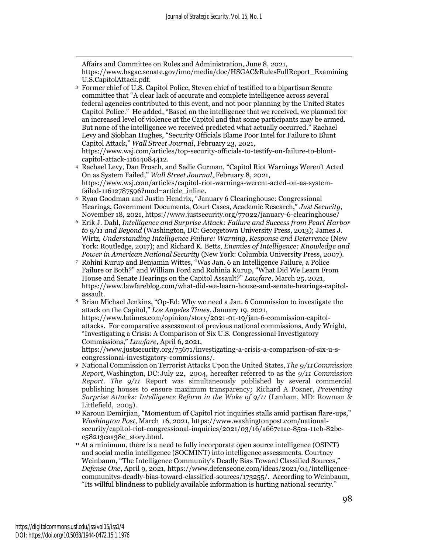Affairs and Committee on Rules and Administration, June 8, 2021, https://www.hsgac.senate.gov/imo/media/doc/HSGAC&RulesFullReport\_Examining U.S.CapitolAttack.pdf.

<sup>3</sup> Former chief of U.S. Capitol Police, Steven chief of testified to a bipartisan Senate committee that "A clear lack of accurate and complete intelligence across several federal agencies contributed to this event, and not poor planning by the United States Capitol Police." He added, "Based on the intelligence that we received, we planned for an increased level of violence at the Capitol and that some participants may be armed. But none of the intelligence we received predicted what actually occurred." Rachael Levy and Siobhan Hughes, "Security Officials Blame Poor Intel for Failure to Blunt Capitol Attack," *Wall Street Journal*, February 23, 2021,

https://www.wsj.com/articles/top-security-officials-to-testify-on-failure-to-bluntcapitol-attack-11614084412.

- <sup>4</sup> Rachael Levy, Dan Frosch, and Sadie Gurman, "Capitol Riot Warnings Weren't Acted On as System Failed," *Wall Street Journal*, February 8, 2021, https://www.wsj.com/articles/capitol-riot-warnings-werent-acted-on-as-systemfailed-11612787596?mod=article\_inline.
- <sup>5</sup> Ryan Goodman and Justin Hendrix, "January 6 Clearinghouse: Congressional Hearings, Government Documents, Court Cases, Academic Research," *Just Security*, November 18, 2021, https://www.justsecurity.org/77022/january-6-clearinghouse/
- <sup>6</sup> Erik J. Dahl, *Intelligence and Surprise Attack: Failure and Success from Pearl Harbor to 9/11 and Beyond* (Washington, DC: Georgetown University Press, 2013); James J. Wirtz, *Understanding Intelligence Failure: Warning, Response and Deterrence* (New York: Routledge, 2017); and Richard K. Betts, *Enemies of Intelligence: Knowledge and Power in American National Security* (New York: Columbia University Press, 2007).
- <sup>7</sup> Rohini Kurup and Benjamin Wittes, "Was Jan. 6 an Intelligence Failure, a Police Failure or Both?" and William Ford and Rohinia Kurup, "What Did We Learn From House and Senate Hearings on the Capitol Assault?" *Lawfare*, March 25, 2021, https://www.lawfareblog.com/what-did-we-learn-house-and-senate-hearings-capitolassault.
- <sup>8</sup> Brian Michael Jenkins, "Op-Ed: Why we need a Jan. 6 Commission to investigate the attack on the Capitol," *Los Angeles Times*, January 19, 2021, https://www.latimes.com/opinion/story/2021-01-19/jan-6-commission-capitolattacks. For comparative assessment of previous national commissions, Andy Wright, "Investigating a Crisis: A Comparison of Six U.S. Congressional Investigatory Commissions," *Lawfare*, April 6, 2021,

https://www.justsecurity.org/75671/investigating-a-crisis-a-comparison-of-six-u-scongressional-investigatory-commissions/.

- <sup>9</sup> National Commission on Terrorist Attacks Upon the United States, *The 9/11Commission Report,*Washington, DC: July 22, 2004, hereafter referred to as the *9/11 Commission Report. The 9/11* Report was simultaneously published by several commercial publishing houses to ensure maximum transparency*;* Richard A Posner, *Preventing Surprise Attacks: Intelligence Reform in the Wake of 9/11* (Lanham, MD: Rowman & Littlefield, 2005).
- <sup>10</sup> Karoun Demirjian, "Momentum of Capitol riot inquiries stalls amid partisan flare-ups," *Washington Post*, March 16, 2021, https://www.washingtonpost.com/nationalsecurity/capitol-riot-congressional-inquiries/2021/03/16/a667c1ac-85ca-11eb-82bce58213caa38e\_story.html.
- <sup>11</sup> At a minimum, there is a need to fully incorporate open source intelligence (OSINT) and social media intelligence (SOCMINT) into intelligence assessments. Courtney Weinbaum, "The Intelligence Community's Deadly Bias Toward Classified Sources," *Defense One*, April 9, 2021, [https://www.defenseone.com/ideas/2021/04/intelligence](https://www.defenseone.com/ideas/2021/04/intelligence-communitys-deadly-bias-toward-classified-sources/173255/)[communitys-deadly-bias-toward-classified-sources/173255/.](https://www.defenseone.com/ideas/2021/04/intelligence-communitys-deadly-bias-toward-classified-sources/173255/) According to Weinbaum, "Its willful blindness to publicly available information is hurting national security."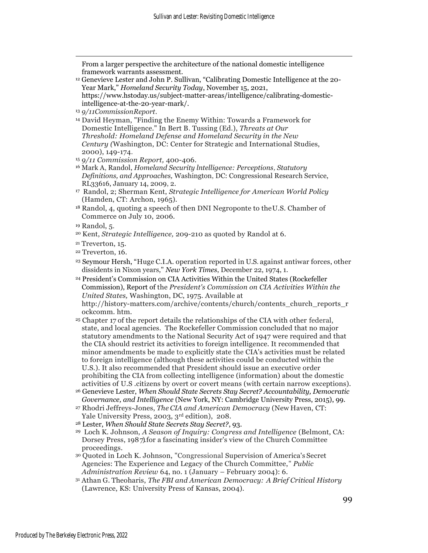From a larger perspective the architecture of the national domestic intelligence framework warrants assessment.

- <sup>12</sup> Genevieve Lester and John P. Sullivan, "Calibrating Domestic Intelligence at the 20- Year Mark," *Homeland Security Today*, November 15, 2021, https://www.hstoday.us/subject-matter-areas/intelligence/calibrating-domesticintelligence-at-the-20-year-mark/.
- <sup>13</sup> *9/11Commission Report*.
- <sup>14</sup> David Heyman, "Finding the Enemy Within: Towards a Framework for Domestic Intelligence." In Bert B. Tussing (Ed.), *Threats at Our Threshold: Homeland Defense and Homeland Security in the New Century (*Washington, DC: Center for Strategic and International Studies, 2000), 149-174.

- <sup>16</sup> Mark A, Randol, *Homeland Security lntelligence: Perceptions, Statutory Definitions, and Approaches,* Washington, DC: Congressional Research Service, RL33616, January 14, 2009, 2.
- <sup>17</sup> Randol, 2; Sherman Kent, *Strategic Intelligence for American World Policy* (Hamden, CT: Archon, 1965).
- <sup>18</sup> Randol, 4, quoting a speech of then DNI Negroponte to theU.S. Chamber of Commerce on July 10, 2006.

- <sup>20</sup> Kent, *Strategic Intelligence,* 209-210 as quoted by Randol at 6.
- <sup>21</sup> Treverton, 15.
- <sup>22</sup> Treverton, 16.
- <sup>23</sup> Seymour Hersh, "Huge C.I.A. operation reported in U.S. against antiwar forces, other dissidents in Nixon years," *New York Times*, December 22, 1974, 1.
- <sup>24</sup> President's Commission on CIA Activities Within the United States (Rockefeller Commission), Report of the *President's Commission on CIA Activities Within the United States,* Washington, DC, 1975. Available at [http://history-m](http://history/)atters.com/archive/contents/church/contents\_church\_reports\_r ockcomm. htm.
- <sup>25</sup> Chapter 17 of the report details the relationships of the CIA with other federal, state, and local agencies. The Rockefeller Commission concluded that no major statutory amendments to the National Security Act of 1947 were required and that the CIA should restrict its activities to foreign intelligence. It recommended that minor amendments be made to explicitly state the CIA's activities must be related to foreign intelligence (although these activities could be conducted within the U.S.). It also recommended that President should issue an executive order prohibiting the CIA from collecting intelligence (information) about the domestic activities of U.S .citizens by overt or covert means (with certain narrow exceptions).
- <sup>26</sup> Genevieve Lester, *When Should State Secrets Stay Secret? Accountability, Democratic Governance, and Intelligence* (New York, NY: Cambridge University Press, 2015), 99.
- <sup>27</sup> Rhodri Jeffreys-Jones, *The CIA and American Democracy* (New Haven, CT: Yale University Press, 2003, 3rd edition), 208.
- <sup>28</sup> Lester, *When Should State Secrets Stay Secret?*, 93.
- <sup>29</sup> Loch K. Johnson, *A Season of Inquiry: Congress and Intelligence* (Belmont, CA: Dorsey Press, 1987). for a fascinating insider's view of the Church Committee proceedings.
- <sup>30</sup> Quoted in Loch K. Johnson, "Congressional Supervision of America's Secret Agencies: The Experience and Legacy of the Church Committee," *Public Administration Review* 64, no. 1 (January – February 2004): 6.
- <sup>31</sup> Athan G. Theoharis, *The FBI and American Democracy: A Brief Critical History*  (Lawrence, KS: University Press of Kansas, 2004).

<sup>15</sup> *9/11 Commission Report,* 400-406.

<sup>19</sup> Randol, 5.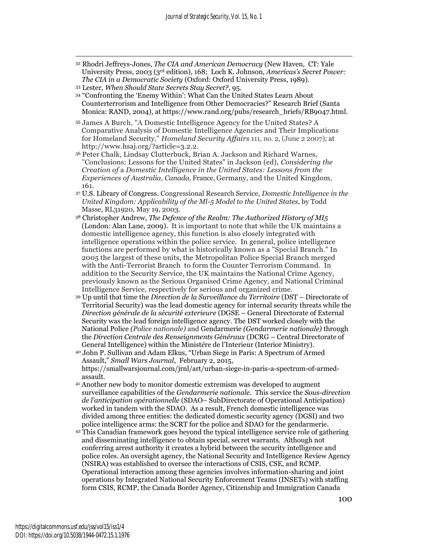<sup>32</sup> Rhodri Jeffreys-Jones, *The CIA and American Democracy* (New Haven, CT: Yale University Press, 2003 (3rd edition), 168; Loch K. Johnson, *Americas's Secret Power: The CIA in a Democratic Society* (Oxford: Oxford University Press, 1989).

- <sup>34</sup> "Confronting the 'Enemy Within': What Can the United States Learn About Counterterrorism and Intelligence from Other Democracies?" Research Brief (Santa Monica: RAND, 2004), at https://www.rand.org/pubs/research\_briefs/RB9047.html.
- <sup>35</sup> James A Burch, "A Domestic Intelligence Agency for the United States? A Comparative Analysis of Domestic Intelligence Agencies and Their Implications for Homeland Security," *Homeland Security Affairs* 111, no. 2, (June 2 2007); at [http://www.hsaj.org/?article=3.2.2.](http://www.hsaj.org/?article=3.2.2)
- <sup>36</sup> Peter Chalk, Lindsay Clutterbuck, Brian A. Jackson and Richard Warnes, "Conclusions: Lessons for the United States" in Jackson (ed), *Considering the Creation of* a *Domestic Intelligence in the United States: Lessons from the Experiences of Australia, Canada,* France, Germany, and the United Kingdom, 161.
- <sup>37</sup> U.S. Library of Congress. Congressional Research Service, *Domestic Intelligence in the United Kingdom: Applicability of the Ml-5 Model to the United States,* by Todd Masse, RL31920, May 19, 2003.
- <sup>38</sup> Christopher Andrew, *The Defence of the Realm: The Authorized History of MI5* (London: Alan Lane, 2009). It is important to note that while the UK maintains a domestic intelligence agency, this function is also closely integrated with intelligence operations within the police service. In general, police intelligence functions are performed by what is historically known as a "Special Branch." In 2005 the largest of these units, the Metropolitan Police Special Branch merged with the Anti-Terrorist Branch to form the Counter Terrorism Command. In addition to the Security Service, the UK maintains the National Crime Agency, previously known as the Serious Organised Crime Agency, and National Criminal Intelligence Service, respectively for serious and organized crime.
- <sup>39</sup> Up until that time the *Direction de la Surveillance du Territoire* (DST Directorate of Territorial Security) was the lead domestic agency for internal security threats while the *Direction générale de la sécurité exterieure* (DGSE – General Directorate of External Security was the lead foreign intelligence agency. The DST worked closely with the National Police *(Police nationale)* and Gendarmerie *(Gendarmerie nationale)* through the *Direction Centrale des Renseignments Généraux* (DCRG – Central Directorate of General Intelligence) within the Minist*é*re de l'Interieur (Interior Ministry).
- <sup>40</sup> John P. Sullivan and Adam Elkus, "Urban Siege in Paris: A Spectrum of Armed Assault," *Small Wars Journal*, February 2, 2015, https://smallwarsjournal.com/jrnl/art/urban-siege-in-paris-a-spectrum-of-armedassault.
- <sup>41</sup> Another new body to monitor domestic extremism was developed to augment surveillance capabilities of the *Gendarmerie nationale.* This service the *Sous-direction de l'anticipation opérationnelle* (SDAO– SubDirectorate of Operational Anticipation) worked in tandem with the SDAO. As a result, French domestic intelligence was divided among three entities: the dedicated domestic security agency (DGSI) and two police intelligence arms: the SCRT for the police and SDAO for the gendarmerie.
- <sup>42</sup> This Canadian framework goes beyond the typical intelligence service role of gathering and disseminating intelligence to obtain special, secret warrants. Although not conferring arrest authority it creates a hybrid between the security intelligence and police roles. An oversight agency, the National Security and Intelligence Review Agency (NSIRA) was established to oversee the interactions of CSIS, CSE, and RCMP. Operational interaction among these agencies involves information-sharing and joint operations by Integrated National Security Enforcement Teams (INSETs) with staffing form CSIS, RCMP, the Canada Border Agency, Citizenship and Immigration Canada

<sup>33</sup> Lester, *When Should State Secrets Stay Secret?*, 95.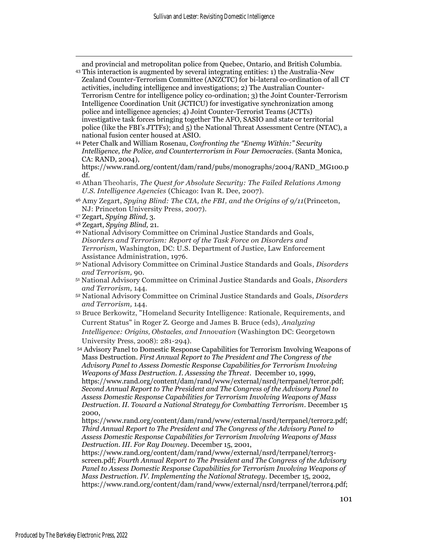and provincial and metropolitan police from Quebec, Ontario, and British Columbia.

- <sup>43</sup> This interaction is augmented by several integrating entities: 1) the Australia-New Zealand Counter-Terrorism Committee (ANZCTC) for bi-lateral co-ordination of all CT activities, including intelligence and investigations; 2) The Australian Counter-Terrorism Centre for intelligence policy co-ordination; 3) the Joint Counter-Terrorism Intelligence Coordination Unit (JCTICU) for investigative synchronization among police and intelligence agencies; 4) Joint Counter-Terrorist Teams (JCTTs) investigative task forces bringing together The AFO, SASIO and state or territorial police (like the FBI's JTTFs); and 5) the National Threat Assessment Centre (NTAC), a national fusion center housed at ASIO.
- <sup>44</sup> Peter Chalk and William Rosenau, *Confronting the "Enemy Within:" Security Intelligence, the Police, and Counterterrorism in Four Democracies*. (Santa Monica, CA: RAND, 2004),

https://www.rand.org/content/dam/rand/pubs/monographs/2004/RAND\_MG100.p df.

- <sup>45</sup> Athan Theoharis, *The Quest for Absolute Security: The Failed Relations Among U.S. Intelligence Agencies* (Chicago: Ivan R. Dee, 2007).
- <sup>46</sup> Amy Zegart, *Spying Blind: The CIA, the FBI, and the Origins of 9/11*(Princeton, NJ: Princeton University Press, 2007).
- <sup>47</sup> Zegart, *Spying Blind,* 3.
- <sup>48</sup> Zegart, *Spying Blind,* 21.
- <sup>49</sup> National Advisory Committee on Criminal Justice Standards and Goals, *Disorders and Terrorism: Report of the Task Force on Disorders and Terrorism,* Washington, DC: U.S. Department of Justice, Law Enforcement Assistance Administration, 1976.
- <sup>50</sup> National Advisory Committee on Criminal Justice Standards and Goals, *Disorders and Terrorism,* 90.
- <sup>51</sup> National Advisory Committee on Criminal Justice Standards and Goals, *Disorders and Terrorism,* 144.
- <sup>52</sup> National Advisory Committee on Criminal Justice Standards and Goals, *Disorders and Terrorism,* 144.
- <sup>53</sup> Bruce Berkowitz, "Homeland Security Intelligence: Rationale, Requirements, and Current Status" in Roger Z. George and James B. Bruce (eds), *Analyzing Intelligence: Origins, Obstacles, and Innovation* (Washington DC: Georgetown University Press, 2008): 281-294).

<sup>54</sup> Advisory Panel to Domestic Response Capabilities for Terrorism Involving Weapons of Mass Destruction. *First Annual Report to The President and The Congress of the Advisory Panel to Assess Domestic Response Capabilities for Terrorism Involving Weapons of Mass Destruction. I. Assessing the Threat*. December 10, 1999, https://www.rand.org/content/dam/rand/www/external/nsrd/terrpanel/terror.pdf; *Second Annual Report to The President and The Congress of the Advisory Panel to Assess Domestic Response Capabilities for Terrorism Involving Weapons of Mass Destruction. II. Toward a National Strategy for Combatting Terrorism*. December 15 2000,

https://www.rand.org/content/dam/rand/www/external/nsrd/terrpanel/terror2.pdf; *Third Annual Report to The President and The Congress of the Advisory Panel to Assess Domestic Response Capabilities for Terrorism Involving Weapons of Mass Destruction. III. For Ray Downey*. December 15, 2001,

https://www.rand.org/content/dam/rand/www/external/nsrd/terrpanel/terror3 screen.pdf; *Fourth Annual Report to The President and The Congress of the Advisory Panel to Assess Domestic Response Capabilities for Terrorism Involving Weapons of Mass Destruction. IV. Implementing the National Strategy*. December 15, 2002, https://www.rand.org/content/dam/rand/www/external/nsrd/terrpanel/terror4.pdf;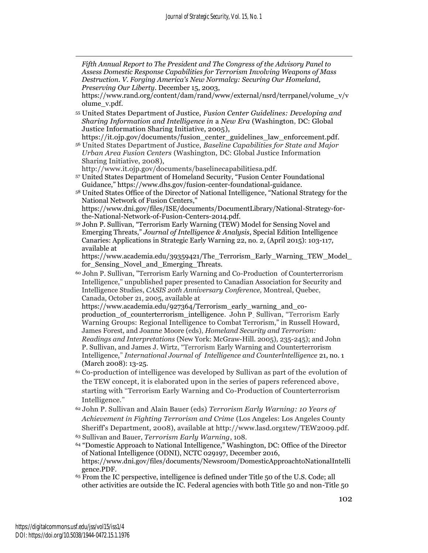*Fifth Annual Report to The President and The Congress of the Advisory Panel to Assess Domestic Response Capabilities for Terrorism Involving Weapons of Mass Destruction. V. Forging America's New Normalcy: Securing Our Homeland, Preserving Our Liberty*. December 15, 2003,

https://www.rand.org/content/dam/rand/www/external/nsrd/terrpanel/volume\_v/v olume\_v.pdf.

<sup>55</sup> United States Department of Justice, *Fusion Center Guidelines: Developing and Sharing Information and Intelligence in* a *New Era* (Washington, DC: Global Justice Information Sharing Initiative, 2005),

https://it.ojp.gov/documents/fusion\_center\_guidelines\_law\_enforcement.pdf. <sup>56</sup> United States Department of Justice, *Baseline Capabilities for State and Major Urban Area Fusion Centers* (Washington, DC: Global Justice Information Sharing Initiative, 2008),

http://www.it.ojp.gov/documents/baselinecapabilitiesa.pdf.

- <sup>57</sup> United States Department of Homeland Security, "Fusion Center Foundational Guidance," [https://www.dhs.gov/fusion-center-foundational-guidance.](https://www.dhs.gov/fusion-center-foundational-guidance)
- <sup>58</sup> United States Office of the Director of National Intelligence, "National Strategy for the National Network of Fusion Centers," https://www.dni.gov/files/ISE/documents/DocumentLibrary/National-Strategy-for-

the-National-Network-of-Fusion-Centers-2014.pdf.

<sup>59</sup> John P. Sullivan, "Terrorism Early Warning (TEW) Model for Sensing Novel and Emerging Threats," *Journal of Intelligence & Analysis*, Special Edition Intelligence Canaries: Applications in Strategic Early Warning 22, no. 2, (April 2015): 103-117, available at

https://www.academia.edu/39359421/The\_Terrorism\_Early\_Warning\_TEW\_Model\_ for\_Sensing\_Novel\_and\_Emerging\_Threats.

<sup>60</sup> John P. Sullivan, "Terrorism Early Warning and Co-Production of Counterterrorism Intelligence," unpublished paper presented to Canadian Association for Security and Intelligence Studies, *CASIS 20th Anniversary Conference,* Montreal, Quebec, Canada, October 21, 2005, available at

https://www.academia.edu/927364/Terrorism\_early\_warning\_and\_coproduction\_of\_counterterrorism\_intelligence. John P \_ Sullivan, "Terrorism Early Warning Groups: Regional Intelligence to Combat Terrorism," in Russell Howard, James Forest, and Joanne Moore (eds), *Homeland Security and Terrorism: Readings and Interpretations* (New York: McGraw-Hill. 2005), 235-245); and John P. Sullivan, and James J. Wirtz, "Terrorism Early Warning and Counterterrorism Intelligence," *International Journal of Intelligence and Counterlntelligence* 21, no. 1 (March 2008): 13-25.

- <sup>61</sup> Co-production of intelligence was developed by Sullivan as part of the evolution of the TEW concept, it is elaborated upon in the series of papers referenced above, starting with "Terrorism Early Warning and Co-Production of Counterterrorism Intelligence."
- <sup>62</sup> John P. Sullivan and Alain Bauer (eds) *Terrorism Early Warning: 10 Years of Achievement in Fighting Terrorism and Crime* (Los Angeles: Los Angeles County Sheriff's Department, 2008), available at [http://www.lasd.org1tew/TEW2009.pdf.](http://www.lasd.org1tew/TEW2009.pdf) <sup>63</sup> Sullivan and Bauer, *Terrorism Early Warning*, 108.
- <sup>64</sup> "Domestic Approach to National Intelligence," Washington, DC: Office of the Director of National Intelligence (ODNI), NCTC 029197, December 2016,

https://www.dni.gov/files/documents/Newsroom/DomesticApproachtoNationalIntelli gence.PDF.

<sup>65</sup> From the IC perspective, intelligence is defined under Title 50 of the U.S. Code; all other activities are outside the IC. Federal agencies with both Title 50 and non-Title 50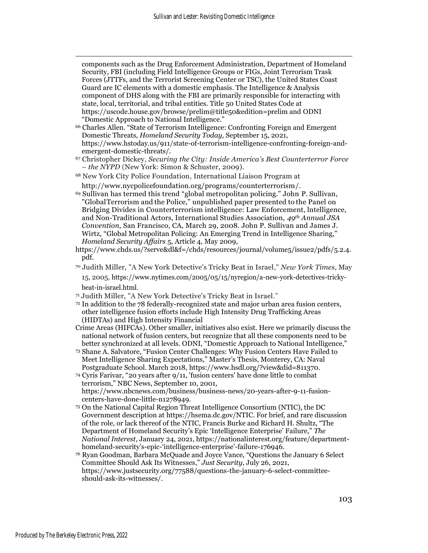components such as the Drug Enforcement Administration, Department of Homeland Security, FBI (including Field Intelligence Groups or FIGs, Joint Terrorism Trask Forces (JTTFs, and the Terrorist Screening Center or TSC), the United States Coast Guard are IC elements with a domestic emphasis. The Intelligence & Analysis component of DHS along with the FBI are primarily responsible for interacting with state, local, territorial, and tribal entities. Title 50 United States Code at https://uscode.house.gov/browse/prelim@title50&edition=prelim and ODNI "Domestic Approach to National Intelligence."

<sup>66</sup> Charles Allen. "State of Terrorism Intelligence: Confronting Foreign and Emergent Domestic Threats, *Homeland Security Today,* September 15, 2021, https://www.hstoday.us/911/state-of-terrorism-intelligence-confronting-foreign-andemergent-domestic-threats/.

<sup>67</sup> Christopher Dickey, *Securing the City: Inside America's Best Counterterror Force – the NYPD* (New York: Simon & Schuster, 2009).

- <sup>68</sup> New York City Police Foundation, International Liaison Program at http://www.nycpolicefoundation.org/programs/counterterrorism[/.](http://www.nycpolicefoundation.org1globa.lasp/)
- <sup>69</sup> Sullivan has termed this trend "global metropolitan policing." John P. Sullivan, "GlobalTerrorism and the Police," unpublished paper presented to the Panel on Bridging Divides in Counterterrorism intelligence: Law Enforcement, lntelligence, and Non-Traditional Actors, International Studies Association, *49th Annual JSA Convention,* San Francisco, CA, March 29, 2008. John P. Sullivan and James J. Wirtz, "Global Metropolitan Policing: An Emerging Trend in Intelligence Sharing," *Homeland Security Affairs* 5, Article 4, May 2009,
- https://www.chds.us/?serve&dl&f=/chds/resources/journal/volume5/issue2/pdfs/5.2.4. pdf.
- <sup>70</sup> Judith Miller, "A New York Detective's Tricky Beat in Israel," *New York Times,* May 15, 2005, https://www.nytimes.com/2005/05/15/nyregion/a-new-york-detectives-trickybeat-in-israel.html.
- <sup>71</sup> Judith Miller, "A New York Detective's Tricky Beat in Israel."
- <sup>72</sup> In addition to the 78 federally-recognized state and major urban area fusion centers, other intelligence fusion efforts include High Intensity Drug Trafficking Areas (HIDTAs) and High Intensity Financial
- Crime Areas (HIFCAs). Other smaller, initiatives also exist. Here we primarily discuss the national network of fusion centers, but recognize that all these components need to be better synchronized at all levels. ODNI, "Domestic Approach to National Intelligence,"
- <sup>73</sup> Shane A. Salvatore, "Fusion Center Challenges: Why Fusion Centers Have Failed to Meet Intelligence Sharing Expectations," Master's Thesis, Monterey, CA: Naval Postgraduate School. March 2018, https://www.hsdl.org/?view&did=811370.
- <sup>74</sup> Cyris Farivar, "20 years after 9/11, 'fusion centers' have done little to combat terrorism," NBC News, September 10, 2001, https://www.nbcnews.com/business/business-news/20-years-after-9-11-fusioncenters-have-done-little-n1278949.
- <sup>75</sup> On the National Capital Region Threat Intelligence Consortium (NTIC), the DC Government description at https://hsema.dc.gov/NTIC. For brief, and rare discussion of the role, or lack thereof of the NTIC, Francis Burke and Richard H. Shultz, "The Department of Homeland Security's Epic 'Intelligence Enterprise' Failure," *The National Interest*, January 24, 2021, https://nationalinterest.org/feature/departmenthomeland-security's-epic-'intelligence-enterprise'-failure-176946.
- <sup>76</sup> Ryan Goodman, Barbara McQuade and Joyce Vance, "Questions the January 6 Select Committee Should Ask Its Witnesses," *Just Security*, July 26, 2021, https://www.justsecurity.org/77588/questions-the-january-6-select-committeeshould-ask-its-witnesses/.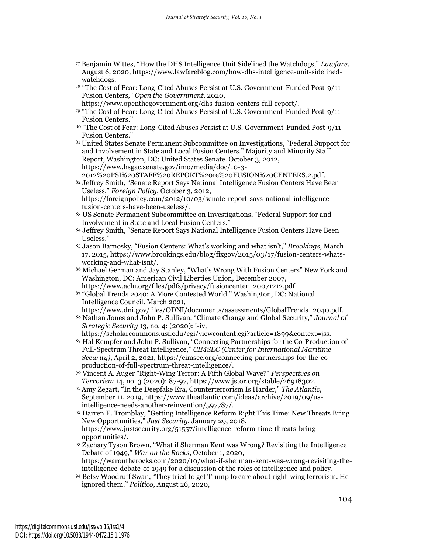- <sup>77</sup> Benjamin Wittes, "How the DHS Intelligence Unit Sidelined the Watchdogs," *Lawfare*, August 6, 2020, https://www.lawfareblog.com/how-dhs-intelligence-unit-sidelinedwatchdogs.
- <sup>78</sup> "The Cost of Fear: Long-Cited Abuses Persist at U.S. Government-Funded Post-9/11 Fusion Centers," *Open the Government*, 2020,
- https://www.openthegovernment.org/dhs-fusion-centers-full-report/. <sup>79</sup> "The Cost of Fear: Long-Cited Abuses Persist at U.S. Government-Funded Post-9/11 Fusion Centers."
- <sup>80</sup> "The Cost of Fear: Long-Cited Abuses Persist at U.S. Government-Funded Post-9/11 Fusion Centers."

<sup>81</sup> United States Senate Permanent Subcommittee on Investigations, "Federal Support for and Involvement in State and Local Fusion Centers." Majority and Minority Staff Report, Washington, DC: United States Senate. October 3, 2012, https://www.hsgac.senate.gov/imo/media/doc/10-3- 2012%20PSI%20STAFF%20REPORT%20re%20FUSION%20CENTERS.2.pdf.

- 82 Jeffrey Smith, "Senate Report Says National Intelligence Fusion Centers Have Been Useless," *Foreign Policy*, October 3, 2012, [https://foreignpolicy.com/2012/10/03/senate-report-says-national-intelligence](https://foreignpolicy.com/2012/10/03/senate-report-says-national-intelligence-fusion-centers-have-been-useless/)[fusion-centers-have-been-useless/.](https://foreignpolicy.com/2012/10/03/senate-report-says-national-intelligence-fusion-centers-have-been-useless/)
- <sup>83</sup> US Senate Permanent Subcommittee on Investigations, "Federal Support for and Involvement in State and Local Fusion Centers."
- <sup>84</sup> Jeffrey Smith, "Senate Report Says National Intelligence Fusion Centers Have Been Useless."
- <sup>85</sup> Jason Barnosky, "Fusion Centers: What's working and what isn't," *Brookings*, March 17, 2015, https://www.brookings.edu/blog/fixgov/2015/03/17/fusion-centers-whatsworking-and-what-isnt/.
- <sup>86</sup> Michael German and Jay Stanley, "What's Wrong With Fusion Centers" New York and Washington, DC: American Civil Liberties Union, December 2007, https://www.aclu.org/files/pdfs/privacy/fusioncenter\_20071212.pdf.
- <sup>87</sup> "Global Trends 2040: A More Contested World." Washington, DC: National Intelligence Council. March 2021,

https://www.dni.gov/files/ODNI/documents/assessments/GlobalTrends\_2040.pdf. <sup>88</sup> Nathan Jones and John P. Sullivan, "Climate Change and Global Security," *Journal of Strategic Security* 13, no. 4: (2020): i-iv,

- https://scholarcommons.usf.edu/cgi/viewcontent.cgi?article=1899&context=jss. <sup>89</sup> Hal Kempfer and John P. Sullivan, "Connecting Partnerships for the Co-Production of Full-Spectrum Threat Intelligence," *CIMSEC (Center for International Maritime Security)*, April 2, 2021, [https://cimsec.org/connecting-partnerships-for-the-co](https://cimsec.org/connecting-partnerships-for-the-co-production-of-full-spectrum-threat-intelligence/)[production-of-full-spectrum-threat-intelligence/.](https://cimsec.org/connecting-partnerships-for-the-co-production-of-full-spectrum-threat-intelligence/)
- <sup>90</sup> Vincent A. Auger "Right-Wing Terror: A Fifth Global Wave?" *Perspectives on Terrorism* 14, no. 3 (2020): 87-97, https://www.jstor.org/stable/26918302.
- <sup>91</sup> Amy Zegart, "In the Deepfake Era, Counterterrorism Is Harder," *The Atlantic*, September 11, 2019, https://www.theatlantic.com/ideas/archive/2019/09/usintelligence-needs-another-reinvention/597787/.
- 92 Darren E. Tromblay, "Getting Intelligence Reform Right This Time: New Threats Bring New Opportunities," *Just Security*, January 29, 2018, https://www.justsecurity.org/51557/intelligence-reform-time-threats-bringopportunities/.
- <sup>93</sup> Zachary Tyson Brown, "What if Sherman Kent was Wrong? Revisiting the Intelligence Debate of 1949," *War on the Rocks*, October 1, 2020, https://warontherocks.com/2020/10/what-if-sherman-kent-was-wrong-revisiting-theintelligence-debate-of-1949 for a discussion of the roles of intelligence and policy.
- <sup>94</sup> Betsy Woodruff Swan, "They tried to get Trump to care about right-wing terrorism. He ignored them." *Politico*, August 26, 2020,